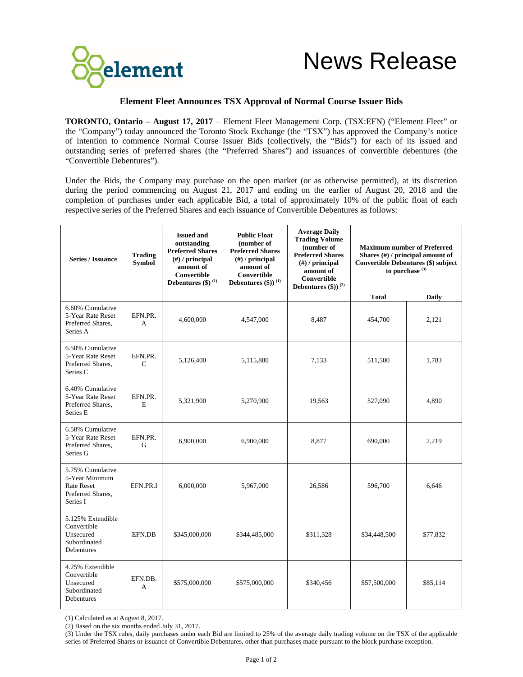

## **Element Fleet Announces TSX Approval of Normal Course Issuer Bids**

**TORONTO, Ontario – August 17, 2017** – Element Fleet Management Corp. (TSX:EFN) ("Element Fleet" or the "Company") today announced the Toronto Stock Exchange (the "TSX") has approved the Company's notice of intention to commence Normal Course Issuer Bids (collectively, the "Bids") for each of its issued and outstanding series of preferred shares (the "Preferred Shares") and issuances of convertible debentures (the "Convertible Debentures").

Under the Bids, the Company may purchase on the open market (or as otherwise permitted), at its discretion during the period commencing on August 21, 2017 and ending on the earlier of August 20, 2018 and the completion of purchases under each applicable Bid, a total of approximately 10% of the public float of each respective series of the Preferred Shares and each issuance of Convertible Debentures as follows:

| <b>Series / Issuance</b>                                                                 | <b>Trading</b><br><b>Symbol</b> | <b>Issued and</b><br>outstanding<br><b>Preferred Shares</b><br>$(\#)$ / principal<br>amount of<br>Convertible<br>Debentures $(\$)$ <sup>(1)</sup> | <b>Public Float</b><br>(number of<br><b>Preferred Shares</b><br>$(\#)$ / principal<br>amount of<br><b>Convertible</b><br>Debentures $(\$))$ <sup>(1)</sup> | <b>Average Daily</b><br><b>Trading Volume</b><br>(number of<br><b>Preferred Shares</b><br>$(\#)$ / principal<br>amount of<br>Convertible<br>Debentures $(\text{$s$})$ ) (2) | <b>Maximum number of Preferred</b><br>Shares $(\#)$ / principal amount of<br><b>Convertible Debentures (\$) subject</b><br>to purchase <sup>(3)</sup> |              |
|------------------------------------------------------------------------------------------|---------------------------------|---------------------------------------------------------------------------------------------------------------------------------------------------|------------------------------------------------------------------------------------------------------------------------------------------------------------|-----------------------------------------------------------------------------------------------------------------------------------------------------------------------------|-------------------------------------------------------------------------------------------------------------------------------------------------------|--------------|
|                                                                                          |                                 |                                                                                                                                                   |                                                                                                                                                            |                                                                                                                                                                             | <b>Total</b>                                                                                                                                          | <b>Daily</b> |
| 6.60% Cumulative<br>5-Year Rate Reset<br>Preferred Shares,<br>Series A                   | EFN.PR.<br>$\overline{A}$       | 4,600,000                                                                                                                                         | 4,547,000                                                                                                                                                  | 8,487                                                                                                                                                                       | 454,700                                                                                                                                               | 2,121        |
| 6.50% Cumulative<br>5-Year Rate Reset<br>Preferred Shares,<br>Series C                   | EFN.PR.<br>$\mathcal{C}$        | 5,126,400                                                                                                                                         | 5,115,800                                                                                                                                                  | 7,133                                                                                                                                                                       | 511,580                                                                                                                                               | 1,783        |
| 6.40% Cumulative<br>5-Year Rate Reset<br>Preferred Shares,<br>Series E                   | EFN.PR.<br>E                    | 5,321,900                                                                                                                                         | 5,270,900                                                                                                                                                  | 19,563                                                                                                                                                                      | 527,090                                                                                                                                               | 4,890        |
| 6.50% Cumulative<br>5-Year Rate Reset<br>Preferred Shares,<br>Series G                   | EFN.PR.<br>G                    | 6,900,000                                                                                                                                         | 6,900,000                                                                                                                                                  | 8,877                                                                                                                                                                       | 690,000                                                                                                                                               | 2,219        |
| 5.75% Cumulative<br>5-Year Minimum<br><b>Rate Reset</b><br>Preferred Shares,<br>Series I | EFN.PR.I                        | 6,000,000                                                                                                                                         | 5,967,000                                                                                                                                                  | 26,586                                                                                                                                                                      | 596,700                                                                                                                                               | 6,646        |
| 5.125% Extendible<br>Convertible<br>Unsecured<br>Subordinated<br>Debentures              | EFN.DB                          | \$345,000,000                                                                                                                                     | \$344,485,000                                                                                                                                              | \$311,328                                                                                                                                                                   | \$34,448,500                                                                                                                                          | \$77,832     |
| 4.25% Extendible<br>Convertible<br>Unsecured<br>Subordinated<br>Debentures               | EFN.DB.<br>A                    | \$575,000,000                                                                                                                                     | \$575,000,000                                                                                                                                              | \$340,456                                                                                                                                                                   | \$57,500,000                                                                                                                                          | \$85,114     |

(1) Calculated as at August 8, 2017.

(2) Based on the six months ended July 31, 2017.

(3) Under the TSX rules, daily purchases under each Bid are limited to 25% of the average daily trading volume on the TSX of the applicable series of Preferred Shares or issuance of Convertible Debentures, other than purchases made pursuant to the block purchase exception.